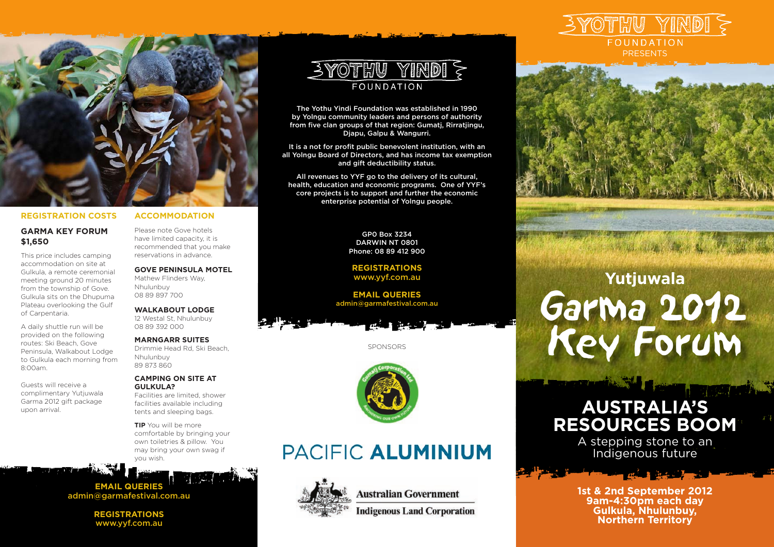

#### **REGISTRATION COSTS**

#### **GARMA KEY FORUM \$1,650**

This price includes camping accommodation on site at Gulkula, a remote ceremonial meeting ground 20 minutes from the township of Gove. Gulkula sits on the Dhupuma Plateau overlooking the Gulf of Carpentaria.

A daily shuttle run will be provided on the following routes: Ski Beach, Gove Peninsula, Walkabout Lodge to Gulkula each morning from 8:00am.

Guests will receive a complimentary Yutjuwala Garma 2012 gift package upon arrival.

#### **ACCOMMODATION**

Please note Gove hotels have limited capacity, it is recommended that you make reservations in advance.

#### **GOVE PENINSULA MOTEL**

Mathew Flinders Way, Nhulunbuy 08 89 897 700

#### **WALKABOUT LODGE** 12 Westal St, Nhulunbuy

08 89 392 000

### **MARNGARR SUITES**

Drimmie Head Rd, Ski Beach, Nhulunbuy 89 873 860

#### **CAMPING ON SITE AT GULKULA?**

Facilities are limited, shower facilities available including tents and sleeping bags.

**TIP** You will be more comfortable by bringing your own toiletries & pillow. You may bring your own swag if you wish.

**EMAIL QUERIES** admin@garmafestival.com.au

> **REGISTRATIONS** www.yyf.com.au



The Yothu Yindi Foundation was established in 1990 by Yolngu community leaders and persons of authority from five clan groups of that region: Gumatj, Rirratjingu, Djapu, Galpu & Wangurri.

It is a not for profit public benevolent institution, with an all Yolngu Board of Directors, and has income tax exemption and gift deductibility status.

All revenues to YYF go to the delivery of its cultural, health, education and economic programs. One of YYF's core projects is to support and further the economic enterprise potential of Yolngu people.

> GP0 Box 3234 DARWIN NT 0801 Phone: 08 89 412 900

**REGISTRATIONS** www.yyf.com.au

**EMAIL QUERIES** admin@garmafestival.com.au

SPONSORS



# PACIFIC ALUMINIUM



**Australian Government** 

**Indigenous Land Corporation** 





# Garma<sub>2012</sub> Key Forum **Yutjuwala**

# **AUSTRALIA'S RESOURCES BOOM**

**TIME TANK** 

A stepping stone to an Indigenous future

a at the most

**1st & 2nd September 2012 9am-4:30pm each day Gulkula, Nhulunbuy, Northern Territory**